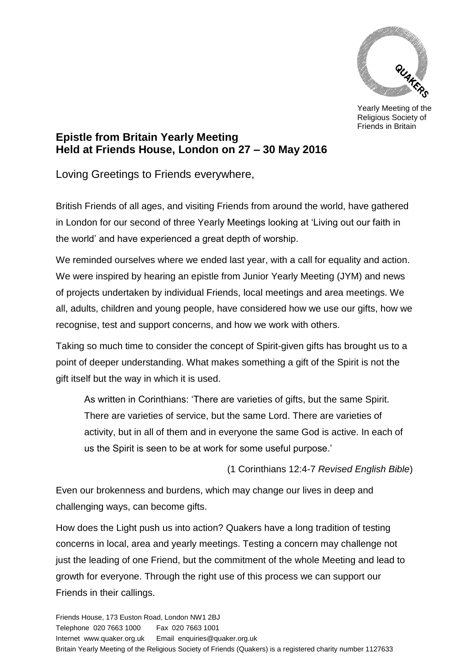

Yearly Meeting of the Religious Society of Friends in Britain

## **Epistle from Britain Yearly Meeting Held at Friends House, London on 27 – 30 May 2016**

Loving Greetings to Friends everywhere,

British Friends of all ages, and visiting Friends from around the world, have gathered in London for our second of three Yearly Meetings looking at 'Living out our faith in the world' and have experienced a great depth of worship.

We reminded ourselves where we ended last year, with a call for equality and action. We were inspired by hearing an epistle from Junior Yearly Meeting (JYM) and news of projects undertaken by individual Friends, local meetings and area meetings. We all, adults, children and young people, have considered how we use our gifts, how we recognise, test and support concerns, and how we work with others.

Taking so much time to consider the concept of Spirit-given gifts has brought us to a point of deeper understanding. What makes something a gift of the Spirit is not the gift itself but the way in which it is used.

As written in Corinthians: 'There are varieties of gifts, but the same Spirit. There are varieties of service, but the same Lord. There are varieties of activity, but in all of them and in everyone the same God is active. In each of us the Spirit is seen to be at work for some useful purpose.'

(1 Corinthians 12:4-7 *Revised English Bible*)

Even our brokenness and burdens, which may change our lives in deep and challenging ways, can become gifts.

How does the Light push us into action? Quakers have a long tradition of testing concerns in local, area and yearly meetings. Testing a concern may challenge not just the leading of one Friend, but the commitment of the whole Meeting and lead to growth for everyone. Through the right use of this process we can support our Friends in their callings.